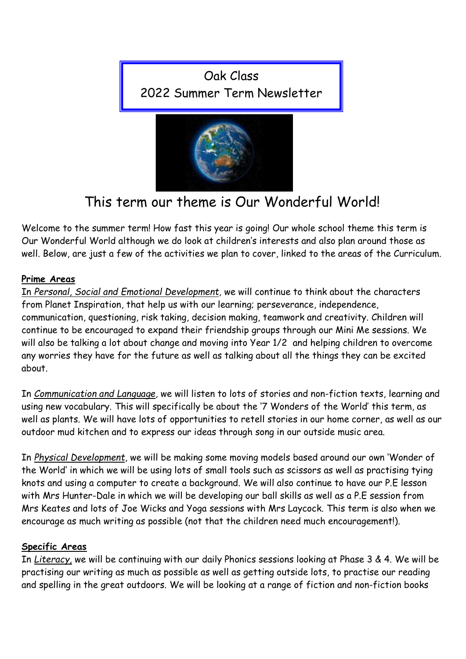



# This term our theme is Our Wonderful World!

Welcome to the summer term! How fast this year is going! Our whole school theme this term is Our Wonderful World although we do look at children's interests and also plan around those as well. Below, are just a few of the activities we plan to cover, linked to the areas of the Curriculum.

# Prime Areas

In Personal, Social and Emotional Development, we will continue to think about the characters from Planet Inspiration, that help us with our learning; perseverance, independence, communication, questioning, risk taking, decision making, teamwork and creativity. Children will continue to be encouraged to expand their friendship groups through our Mini Me sessions. We will also be talking a lot about change and moving into Year 1/2 and helping children to overcome any worries they have for the future as well as talking about all the things they can be excited about.

In Communication and Language, we will listen to lots of stories and non-fiction texts, learning and using new vocabulary. This will specifically be about the '7 Wonders of the World' this term, as well as plants. We will have lots of opportunities to retell stories in our home corner, as well as our outdoor mud kitchen and to express our ideas through song in our outside music area.

In Physical Development, we will be making some moving models based around our own 'Wonder of the World' in which we will be using lots of small tools such as scissors as well as practising tying knots and using a computer to create a background. We will also continue to have our P.E lesson with Mrs Hunter-Dale in which we will be developing our ball skills as well as a P.E session from Mrs Keates and lots of Joe Wicks and Yoga sessions with Mrs Laycock. This term is also when we encourage as much writing as possible (not that the children need much encouragement!).

# Specific Areas

In Literacy, we will be continuing with our daily Phonics sessions looking at Phase 3 & 4. We will be practising our writing as much as possible as well as getting outside lots, to practise our reading and spelling in the great outdoors. We will be looking at a range of fiction and non-fiction books